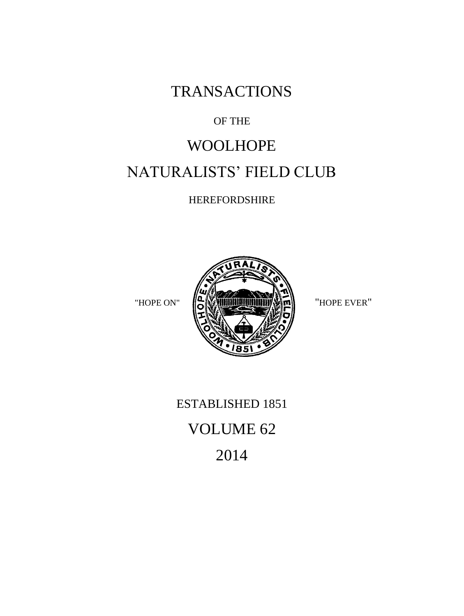**TRANSACTIONS** 

## OF THE

# WOOLHOPE NATURALISTS' FIELD CLUB

HEREFORDSHIRE



## ESTABLISHED 1851

## VOLUME 62

2014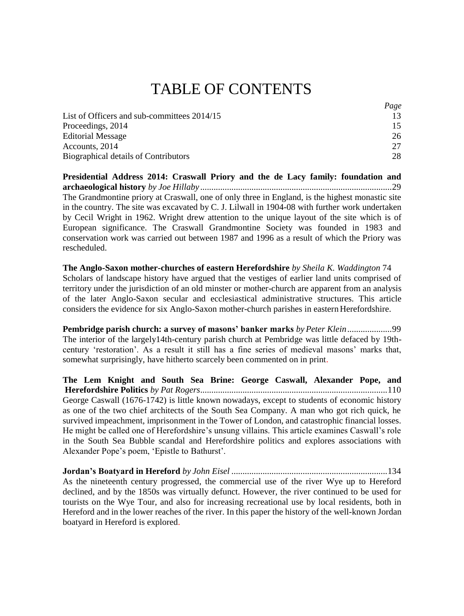## TABLE OF CONTENTS

|                                             | Page |
|---------------------------------------------|------|
| List of Officers and sub-committees 2014/15 | 13   |
| Proceedings, 2014                           | 15   |
| <b>Editorial Message</b>                    | 26   |
| Accounts, 2014                              | 27   |
| Biographical details of Contributors        | 28   |

**[Presidential Address 2014: Craswall Priory and the de Lacy family: foundation and](#page-5-1)  archaeological history** *by Joe Hillaby [......................................................................................](#page-5-1)*29 The Grandmontine priory at Craswall, one of only three in England, is the highest monastic site in the country. The site was excavated by C. J. Lilwall in 1904-08 with further work undertaken by Cecil Wright in 1962. Wright drew attention to the unique layout of the site which is of European significance. The Craswall Grandmontine Society was founded in 1983 and conservation work was carried out between 1987 and 1996 as a result of which the Priory was rescheduled.

**The Anglo-Saxon mother-churches of eastern Herefordshire** *by Sheila K. Waddington* 74 Scholars of landscape history have argued that the vestiges of earlier land units comprised of territory under the jurisdiction of an old minster or mother-church are apparent from an analysis of the later Anglo-Saxon secular and ecclesiastical administrative structures. This article considers the evidence for six Anglo-Saxon mother-church parishes in eastern Herefordshire.

**[Pembridge parish church: a survey of masons' banker marks](#page-7-0)** *by Peter Klein ....................*99 The interior of the largely14th-century parish church at Pembridge was little defaced by 19thcentury 'restoration'. As a result it still has a fine series of medieval masons' marks that, somewhat surprisingly, have hitherto scarcely been commented on in print.

**[The Lem Knight and South Sea Brine: George Caswall, Alexander Pope, and](#page-7-1)  Herefordshire Politics** *by Pat [Rogers....................................................................................](#page-7-1)*110 George Caswall (1676-1742) is little known nowadays, except to students of economic history as one of the two chief architects of the South Sea Company. A man who got rich quick, he survived impeachment, imprisonment in the Tower of London, and catastrophic financial losses. He might be called one of Herefordshire's unsung villains. This article examines Caswall's role in the South Sea Bubble scandal and Herefordshire politics and explores associations with Alexander Pope's poem, 'Epistle to Bathurst'.

**Jordan's Boatyard in Hereford** *by John Eisel ......................................................................*134 As the nineteenth century progressed, the commercial use of the river Wye up to Hereford declined, and by the 1850s was virtually defunct. However, the river continued to be used for tourists on the Wye Tour, and also for increasing recreational use by local residents, both in Hereford and in the lower reaches of the river. In this paper the history of the well-known Jordan boatyard in Hereford is explored.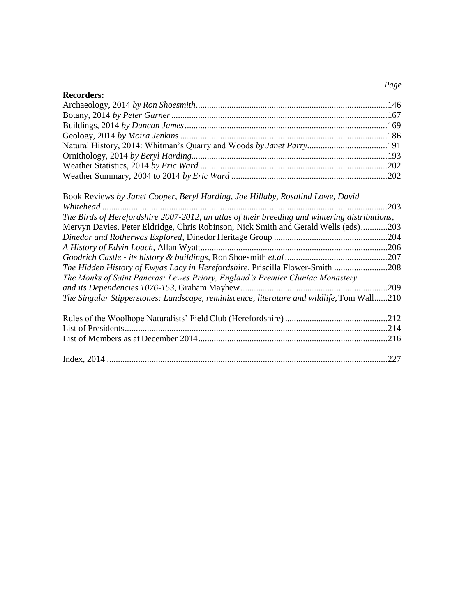## **Recorders:**

| Book Reviews by Janet Cooper, Beryl Harding, Joe Hillaby, Rosalind Lowe, David                |  |
|-----------------------------------------------------------------------------------------------|--|
|                                                                                               |  |
| The Birds of Herefordshire 2007-2012, an atlas of their breeding and wintering distributions, |  |
| Mervyn Davies, Peter Eldridge, Chris Robinson, Nick Smith and Gerald Wells (eds)203           |  |
|                                                                                               |  |
|                                                                                               |  |
|                                                                                               |  |
| The Hidden History of Ewyas Lacy in Herefordshire, Priscilla Flower-Smith 208                 |  |
| The Monks of Saint Pancras: Lewes Priory, England's Premier Cluniac Monastery                 |  |
|                                                                                               |  |
| The Singular Stipperstones: Landscape, reminiscence, literature and wildlife, Tom Wall210     |  |
|                                                                                               |  |
|                                                                                               |  |
|                                                                                               |  |
|                                                                                               |  |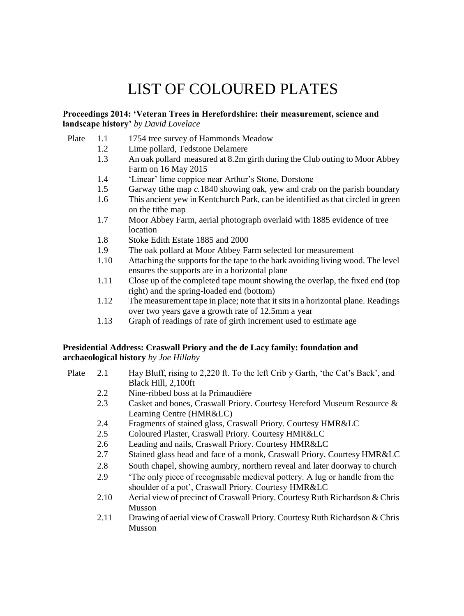## LIST OF COLOURED PLATES

#### **Proceedings 2014: 'Veteran Trees in Herefordshire: their measurement, science and landscape history'** *by David Lovelace*

- Plate 1.1 1754 tree survey of Hammonds Meadow
	- 1.2 Lime pollard, Tedstone Delamere
		- 1.3 An oak pollard measured at 8.2m girth during the Club outing to Moor Abbey Farm on 16 May 2015
		- 1.4 'Linear' lime coppice near Arthur's Stone, Dorstone
		- 1.5 Garway tithe map *c.*1840 showing oak, yew and crab on the parish boundary
		- 1.6 This ancient yew in Kentchurch Park, can be identified as that circled in green on the tithe map
		- 1.7 Moor Abbey Farm, aerial photograph overlaid with 1885 evidence of tree location
		- 1.8 Stoke Edith Estate 1885 and 2000
		- 1.9 The oak pollard at Moor Abbey Farm selected for measurement
		- 1.10 Attaching the supportsfor the tape to the bark avoiding living wood. The level ensures the supports are in a horizontal plane
		- 1.11 Close up of the completed tape mount showing the overlap, the fixed end (top right) and the spring-loaded end (bottom)
		- 1.12 The measurement tape in place; note that itsitsin a horizontal plane. Readings over two years gave a growth rate of 12.5mm a year
		- 1.13 Graph of readings of rate of girth increment used to estimate age

#### **Presidential Address: Craswall Priory and the de Lacy family: foundation and archaeological history** *by Joe Hillaby*

- Plate 2.1 Hay Bluff, rising to 2,220 ft. To the left Crib y Garth, 'the Cat's Back', and Black Hill, 2,100ft
	- 2.2 Nine-ribbed boss at la Primaudière
	- 2.3 Casket and bones, Craswall Priory. Courtesy Hereford Museum Resource & Learning Centre (HMR&LC)
	- 2.4 Fragments of stained glass, Craswall Priory. Courtesy HMR&LC
	- 2.5 Coloured Plaster, Craswall Priory. Courtesy HMR&LC
	- 2.6 Leading and nails, Craswall Priory. Courtesy HMR&LC
	- 2.7 Stained glass head and face of a monk, Craswall Priory. Courtesy HMR&LC
	- 2.8 South chapel, showing aumbry, northern reveal and later doorway to church
	- 2.9 'The only piece of recognisable medieval pottery. A lug or handle from the shoulder of a pot', Craswall Priory. Courtesy HMR&LC
	- 2.10 Aerial view of precinct of Craswall Priory. Courtesy Ruth Richardson & Chris Musson
	- 2.11 Drawing of aerial view of Craswall Priory. Courtesy Ruth Richardson & Chris Musson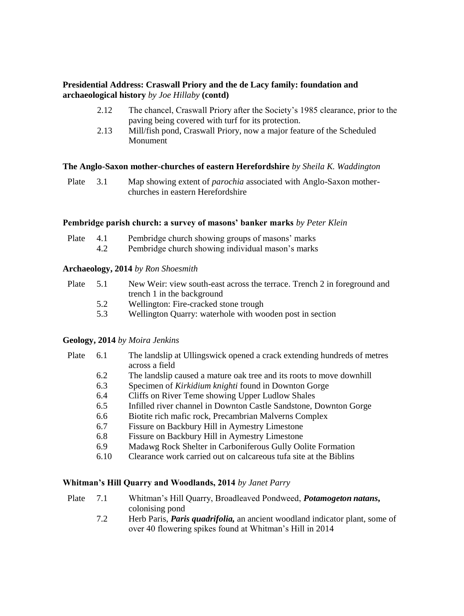#### **Presidential Address: Craswall Priory and the de Lacy family: foundation and archaeological history** *by Joe Hillaby* **(contd)**

- 2.12 The chancel, Craswall Priory after the Society's 1985 clearance, prior to the paving being covered with turf for its protection.
- 2.13 Mill/fish pond, Craswall Priory, now a major feature of the Scheduled Monument

#### **The Anglo-Saxon mother-churches of eastern Herefordshire** *by Sheila K. Waddington*

Plate 3.1 Map showing extent of *parochia* associated with Anglo-Saxon motherchurches in eastern Herefordshire

#### **Pembridge parish church: a survey of masons' banker marks** *by Peter Klein*

| Plate 4.1 |     | Pembridge church showing groups of masons' marks  |
|-----------|-----|---------------------------------------------------|
|           | 4.2 | Pembridge church showing individual mason's marks |

#### **Archaeology, 2014** *by Ron Shoesmith*

| Plate | 5.1 | New Weir: view south-east across the terrace. Trench 2 in foreground and |
|-------|-----|--------------------------------------------------------------------------|
|       |     | trench 1 in the background                                               |
|       |     |                                                                          |

- 5.2 Wellington: Fire-cracked stone trough
- 5.3 Wellington Quarry: waterhole with wooden post in section

#### **Geology, 2014** *by Moira Jenkins*

| Plate | 6.1  | The landslip at Ullingswick opened a crack extending hundreds of metres<br>across a field |
|-------|------|-------------------------------------------------------------------------------------------|
|       | 6.2  | The landslip caused a mature oak tree and its roots to move downhill                      |
|       | 6.3  | Specimen of <i>Kirkidium knighti</i> found in Downton Gorge                               |
|       | 6.4  | Cliffs on River Teme showing Upper Ludlow Shales                                          |
|       | 6.5  | Infilled river channel in Downton Castle Sandstone, Downton Gorge                         |
|       | 6.6  | Biotite rich mafic rock, Precambrian Malverns Complex                                     |
|       | 6.7  | Fissure on Backbury Hill in Aymestry Limestone                                            |
|       | 6.8  | Fissure on Backbury Hill in Aymestry Limestone                                            |
|       | 6.9  | Madawg Rock Shelter in Carboniferous Gully Oolite Formation                               |
|       | 6.10 | Clearance work carried out on calcareous tufa site at the Biblins                         |
|       |      |                                                                                           |
|       |      | <b>Whitman's Hill Quarry and Woodlands, 2014</b> by Janet Parry                           |
| Diata | 71   | Whitman's Hill Quarry, Broadleaved Pondweed, <i>Potamogeton natans</i>                    |

- Plate 7.1 Whitman's Hill Quarry, Broadleaved Pondweed, *Potamogeton natans***,** colonising pond
	- 7.2 Herb Paris, *Paris quadrifolia,* an ancient woodland indicator plant, some of over 40 flowering spikes found at Whitman's Hill in 2014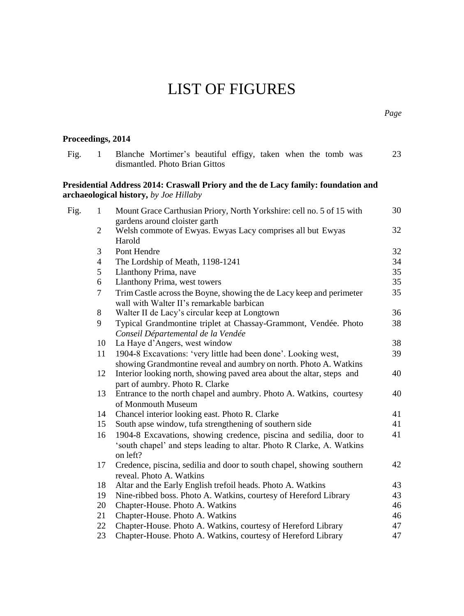## LIST OF FIGURES

<span id="page-5-1"></span><span id="page-5-0"></span>

| Proceedings, 2014 |                |                                                                                                                                                                               |    |
|-------------------|----------------|-------------------------------------------------------------------------------------------------------------------------------------------------------------------------------|----|
| Fig.              | 1              | Blanche Mortimer's beautiful effigy, taken when the tomb was<br>dismantled. Photo Brian Gittos                                                                                | 23 |
|                   |                | Presidential Address 2014: Craswall Priory and the de Lacy family: foundation and<br>archaeological history, by Joe Hillaby                                                   |    |
| Fig.              | 1              | Mount Grace Carthusian Priory, North Yorkshire: cell no. 5 of 15 with<br>gardens around cloister garth                                                                        | 30 |
|                   | $\overline{c}$ | Welsh commote of Ewyas. Ewyas Lacy comprises all but Ewyas<br>Harold                                                                                                          | 32 |
|                   | 3              | Pont Hendre                                                                                                                                                                   | 32 |
|                   | $\overline{4}$ | The Lordship of Meath, 1198-1241                                                                                                                                              | 34 |
|                   | 5              | Llanthony Prima, nave                                                                                                                                                         | 35 |
|                   | 6              | Llanthony Prima, west towers                                                                                                                                                  | 35 |
|                   | $\tau$         | Trim Castle across the Boyne, showing the de Lacy keep and perimeter<br>wall with Walter II's remarkable barbican                                                             | 35 |
|                   | 8              | Walter II de Lacy's circular keep at Longtown                                                                                                                                 | 36 |
|                   | 9              | Typical Grandmontine triplet at Chassay-Grammont, Vendée. Photo<br>Conseil Départemental de la Vendée                                                                         | 38 |
|                   | 10             | La Haye d'Angers, west window                                                                                                                                                 | 38 |
|                   | 11             | 1904-8 Excavations: 'very little had been done'. Looking west,                                                                                                                | 39 |
|                   | 12             | showing Grandmontine reveal and aumbry on north. Photo A. Watkins<br>Interior looking north, showing paved area about the altar, steps and<br>part of aumbry. Photo R. Clarke | 40 |
|                   | 13             | Entrance to the north chapel and aumbry. Photo A. Watkins, courtesy<br>of Monmouth Museum                                                                                     | 40 |
|                   | 14             | Chancel interior looking east. Photo R. Clarke                                                                                                                                | 41 |
|                   | 15             | South apse window, tufa strengthening of southern side                                                                                                                        | 41 |
|                   | 16             | 1904-8 Excavations, showing credence, piscina and sedilia, door to<br>'south chapel' and steps leading to altar. Photo R Clarke, A. Watkins<br>on left?                       | 41 |
|                   | 17             | Credence, piscina, sedilia and door to south chapel, showing southern<br>reveal. Photo A. Watkins                                                                             | 42 |
|                   | 18             | Altar and the Early English trefoil heads. Photo A. Watkins                                                                                                                   | 43 |
|                   | 19.            | Nine-ribbed boss. Photo A. Watkins, courtesy of Hereford Library                                                                                                              | 43 |
|                   | 20             | Chapter-House. Photo A. Watkins                                                                                                                                               | 46 |
|                   | 21             | Chapter-House. Photo A. Watkins                                                                                                                                               | 46 |
|                   | 22             | Chapter-House. Photo A. Watkins, courtesy of Hereford Library                                                                                                                 | 47 |
|                   | 23             | Chapter-House. Photo A. Watkins, courtesy of Hereford Library                                                                                                                 | 47 |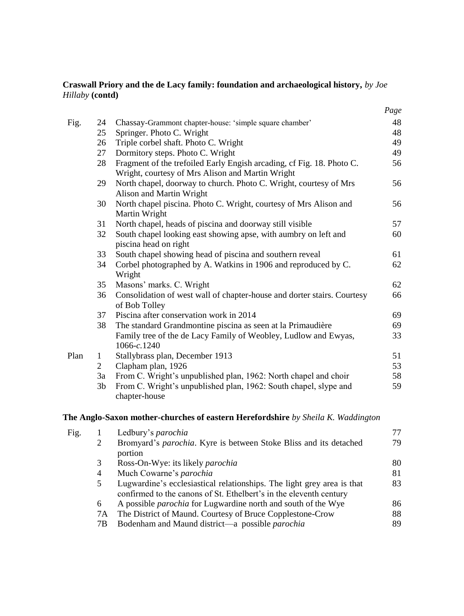## **Craswall Priory and the de Lacy family: foundation and archaeological history,** *by Joe Hillaby* **(contd)**

|      |                |                                                                                                                           | Page |
|------|----------------|---------------------------------------------------------------------------------------------------------------------------|------|
| Fig. | 24             | Chassay-Grammont chapter-house: 'simple square chamber'                                                                   | 48   |
|      | 25             | Springer. Photo C. Wright                                                                                                 | 48   |
|      | 26             | Triple corbel shaft. Photo C. Wright                                                                                      | 49   |
|      | 27             | Dormitory steps. Photo C. Wright                                                                                          | 49   |
|      | 28             | Fragment of the trefoiled Early Engish arcading, cf Fig. 18. Photo C.<br>Wright, courtesy of Mrs Alison and Martin Wright | 56   |
|      | 29             | North chapel, doorway to church. Photo C. Wright, courtesy of Mrs<br>Alison and Martin Wright                             | 56   |
|      | 30             | North chapel piscina. Photo C. Wright, courtesy of Mrs Alison and<br>Martin Wright                                        | 56   |
|      | 31             | North chapel, heads of piscina and doorway still visible                                                                  | 57   |
|      | 32             | South chapel looking east showing apse, with aumbry on left and<br>piscina head on right                                  | 60   |
|      | 33             | South chapel showing head of piscina and southern reveal                                                                  | 61   |
|      | 34             | Corbel photographed by A. Watkins in 1906 and reproduced by C.<br>Wright                                                  | 62   |
|      | 35             | Masons' marks. C. Wright                                                                                                  | 62   |
|      | 36             | Consolidation of west wall of chapter-house and dorter stairs. Courtesy<br>of Bob Tolley                                  | 66   |
|      | 37             | Piscina after conservation work in 2014                                                                                   | 69   |
|      | 38             | The standard Grandmontine piscina as seen at la Primaudière                                                               | 69   |
|      |                | Family tree of the de Lacy Family of Weobley, Ludlow and Ewyas,<br>1066-c.1240                                            | 33   |
| Plan | $\mathbf{1}$   | Stallybrass plan, December 1913                                                                                           | 51   |
|      | $\overline{2}$ | Clapham plan, 1926                                                                                                        | 53   |
|      | 3a             | From C. Wright's unpublished plan, 1962: North chapel and choir                                                           | 58   |
|      | 3 <sub>b</sub> | From C. Wright's unpublished plan, 1962: South chapel, slype and<br>chapter-house                                         | 59   |
|      |                | The Anglo-Saxon mother-churches of eastern Herefordshire by Sheila K. Waddington                                          |      |
| Fig. | 1              | Ledbury's parochia                                                                                                        | 77   |

|    | Leabury's <i>parochia</i>                                                 |    |
|----|---------------------------------------------------------------------------|----|
| 2  | Bromyard's <i>parochia</i> . Kyre is between Stoke Bliss and its detached | 79 |
|    | portion                                                                   |    |
| 3  | Ross-On-Wye: its likely <i>parochia</i>                                   | 80 |
| 4  | Much Cowarne's parochia                                                   | 81 |
| 5  | Lugwardine's ecclesiastical relationships. The light grey area is that    | 83 |
|    | confirmed to the canons of St. Ethelbert's in the eleventh century        |    |
| 6  | A possible <i>parochia</i> for Lugwardine north and south of the Wye      | 86 |
| 7А | The District of Maund. Courtesy of Bruce Copplestone-Crow                 | 88 |
| 7В | Bodenham and Maund district—a possible parochia                           | 89 |
|    |                                                                           |    |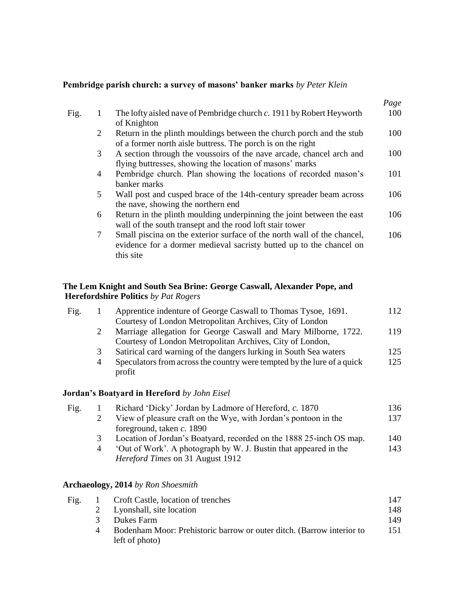### <span id="page-7-0"></span>**Pembridge parish church: a survey of masons' banker marks** *by Peter Klein*

|      |             |                                                                                                                                                             | Page |
|------|-------------|-------------------------------------------------------------------------------------------------------------------------------------------------------------|------|
| Fig. | 1           | The lofty aisled nave of Pembridge church c. 1911 by Robert Heyworth<br>of Knighton                                                                         | 100  |
|      | 2           | Return in the plinth mouldings between the church porch and the stub<br>of a former north aisle buttress. The porch is on the right                         | 100  |
|      | 3           | A section through the voussoirs of the nave arcade, chancel arch and<br>flying buttresses, showing the location of masons' marks                            | 100  |
|      | 4           | Pembridge church. Plan showing the locations of recorded mason's<br>banker marks                                                                            | 101  |
|      | 5           | Wall post and cusped brace of the 14th-century spreader beam across<br>the nave, showing the northern end                                                   | 106  |
|      | 6           | Return in the plinth moulding underpinning the joint between the east<br>wall of the south transept and the rood loft stair tower                           | 106  |
|      | $7^{\circ}$ | Small piscina on the exterior surface of the north wall of the chancel,<br>evidence for a dormer medieval sacristy butted up to the chancel on<br>this site | 106  |
|      |             |                                                                                                                                                             |      |

### <span id="page-7-1"></span>**The Lem Knight and South Sea Brine: George Caswall, Alexander Pope, and Herefordshire Politics** *by Pat Rogers*

| Fig. |   | Apprentice indenture of George Caswall to Thomas Tysoe, 1691.                     | 112 |
|------|---|-----------------------------------------------------------------------------------|-----|
|      |   | Courtesy of London Metropolitan Archives, City of London                          |     |
|      |   | Marriage allegation for George Caswall and Mary Milborne, 1722.                   | 119 |
|      |   | Courtesy of London Metropolitan Archives, City of London,                         |     |
|      | 3 | Satirical card warning of the dangers lurking in South Sea waters                 | 125 |
|      | 4 | Speculators from across the country were tempted by the lure of a quick<br>profit | 125 |
|      |   |                                                                                   |     |

### **Jordan's Boatyard in Hereford** *by John Eisel*

|   | Richard 'Dicky' Jordan by Ladmore of Hereford, c. 1870                                                      | 136 |
|---|-------------------------------------------------------------------------------------------------------------|-----|
|   | View of pleasure craft on the Wye, with Jordan's pontoon in the                                             | 137 |
|   | foreground, taken $c$ . 1890                                                                                |     |
| 3 | Location of Jordan's Boatyard, recorded on the 1888 25-inch OS map.                                         | 140 |
| 4 | 'Out of Work'. A photograph by W. J. Bustin that appeared in the<br><i>Hereford Times</i> on 31 August 1912 | 143 |
|   |                                                                                                             |     |

### **Archaeology, 2014** *by Ron Shoesmith*

| Fig. |   | Croft Castle, location of trenches                                    | 147 |
|------|---|-----------------------------------------------------------------------|-----|
|      | 2 | Lyonshall, site location                                              | 148 |
|      | 3 | Dukes Farm                                                            | 149 |
|      |   | Bodenham Moor: Prehistoric barrow or outer ditch. (Barrow interior to | 151 |
|      |   | left of photo)                                                        |     |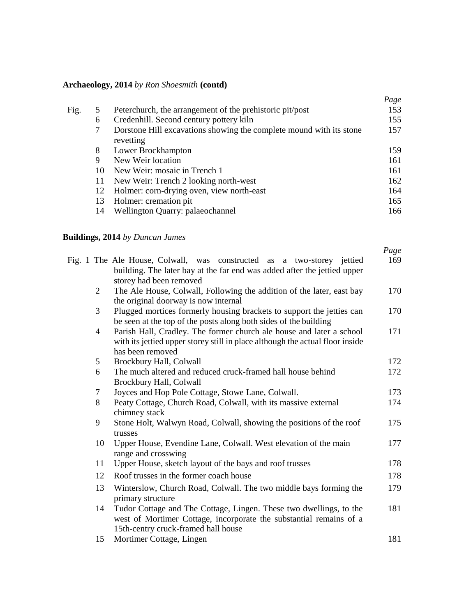## **Archaeology, 2014** *by Ron Shoesmith* **(contd)**

|    |                                                                                  | Page |
|----|----------------------------------------------------------------------------------|------|
| 5  | Peterchurch, the arrangement of the prehistoric pit/post                         | 153  |
| 6  | Credenhill. Second century pottery kiln                                          | 155  |
|    | Dorstone Hill excavations showing the complete mound with its stone<br>revetting | 157  |
| 8  | Lower Brockhampton                                                               | 159  |
| 9  | New Weir location                                                                | 161  |
| 10 | New Weir: mosaic in Trench 1                                                     | 161  |
| 11 | New Weir: Trench 2 looking north-west                                            | 162  |
| 12 | Holmer: corn-drying oven, view north-east                                        | 164  |
| 13 | Holmer: cremation pit.                                                           | 165  |
| 14 | Wellington Quarry: palaeochannel                                                 | 166  |
|    |                                                                                  |      |

## **Buildings, 2014** *by Duncan James*

|                |                                                                                                                                                                                 | Page |
|----------------|---------------------------------------------------------------------------------------------------------------------------------------------------------------------------------|------|
|                | Fig. 1 The Ale House, Colwall, was constructed as a two-storey jettied<br>building. The later bay at the far end was added after the jettied upper                              | 169  |
|                | storey had been removed                                                                                                                                                         |      |
| $\overline{2}$ | The Ale House, Colwall, Following the addition of the later, east bay<br>the original doorway is now internal                                                                   | 170  |
| 3              | Plugged mortices formerly housing brackets to support the jetties can<br>be seen at the top of the posts along both sides of the building                                       | 170  |
| 4              | Parish Hall, Cradley. The former church ale house and later a school<br>with its jettied upper storey still in place although the actual floor inside<br>has been removed       | 171  |
| 5              | Brockbury Hall, Colwall                                                                                                                                                         | 172  |
| 6              | The much altered and reduced cruck-framed hall house behind<br>Brockbury Hall, Colwall                                                                                          | 172  |
| 7              | Joyces and Hop Pole Cottage, Stowe Lane, Colwall.                                                                                                                               | 173  |
| 8              | Peaty Cottage, Church Road, Colwall, with its massive external<br>chimney stack                                                                                                 | 174  |
| 9              | Stone Holt, Walwyn Road, Colwall, showing the positions of the roof<br>trusses                                                                                                  | 175  |
| 10             | Upper House, Evendine Lane, Colwall. West elevation of the main<br>range and crosswing                                                                                          | 177  |
| 11             | Upper House, sketch layout of the bays and roof trusses                                                                                                                         | 178  |
| 12             | Roof trusses in the former coach house                                                                                                                                          | 178  |
| 13             | Winterslow, Church Road, Colwall. The two middle bays forming the<br>primary structure                                                                                          | 179  |
| 14             | Tudor Cottage and The Cottage, Lingen. These two dwellings, to the<br>west of Mortimer Cottage, incorporate the substantial remains of a<br>15th-centry cruck-framed hall house | 181  |
| 15             | Mortimer Cottage, Lingen                                                                                                                                                        | 181  |